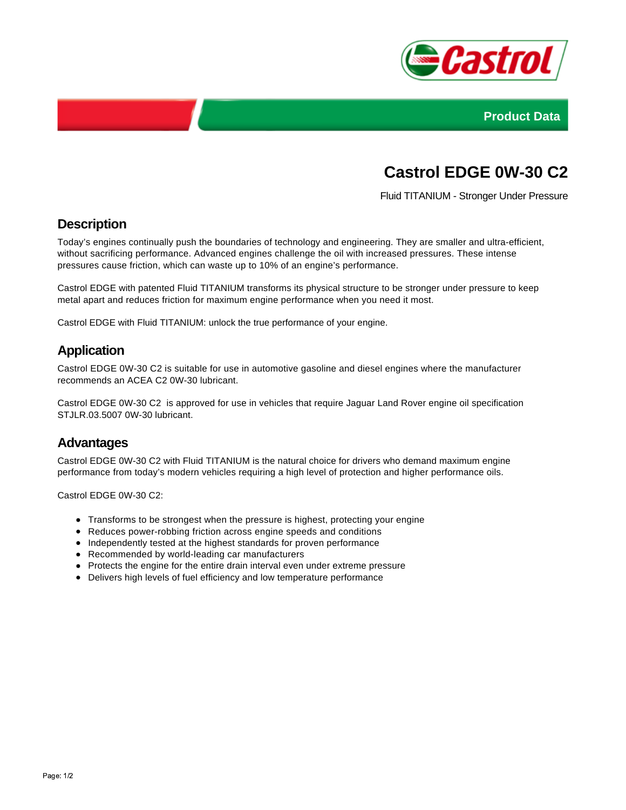



# **Castrol EDGE 0W-30 C2**

Fluid TITANIUM - Stronger Under Pressure

## **Description**

Today's engines continually push the boundaries of technology and engineering. They are smaller and ultra-efficient, without sacrificing performance. Advanced engines challenge the oil with increased pressures. These intense pressures cause friction, which can waste up to 10% of an engine's performance.

Castrol EDGE with patented Fluid TITANIUM transforms its physical structure to be stronger under pressure to keep metal apart and reduces friction for maximum engine performance when you need it most.

Castrol EDGE with Fluid TITANIUM: unlock the true performance of your engine.

#### **Application**

Castrol EDGE 0W-30 C2 is suitable for use in automotive gasoline and diesel engines where the manufacturer recommends an ACEA C2 0W-30 lubricant.

Castrol EDGE 0W-30 C2 is approved for use in vehicles that require Jaguar Land Rover engine oil specification STJLR.03.5007 0W-30 lubricant.

#### **Advantages**

Castrol EDGE 0W-30 C2 with Fluid TITANIUM is the natural choice for drivers who demand maximum engine performance from today's modern vehicles requiring a high level of protection and higher performance oils.

Castrol EDGE 0W-30 C2:

- Transforms to be strongest when the pressure is highest, protecting your engine
- Reduces power-robbing friction across engine speeds and conditions
- Independently tested at the highest standards for proven performance
- Recommended by world-leading car manufacturers
- Protects the engine for the entire drain interval even under extreme pressure
- Delivers high levels of fuel efficiency and low temperature performance